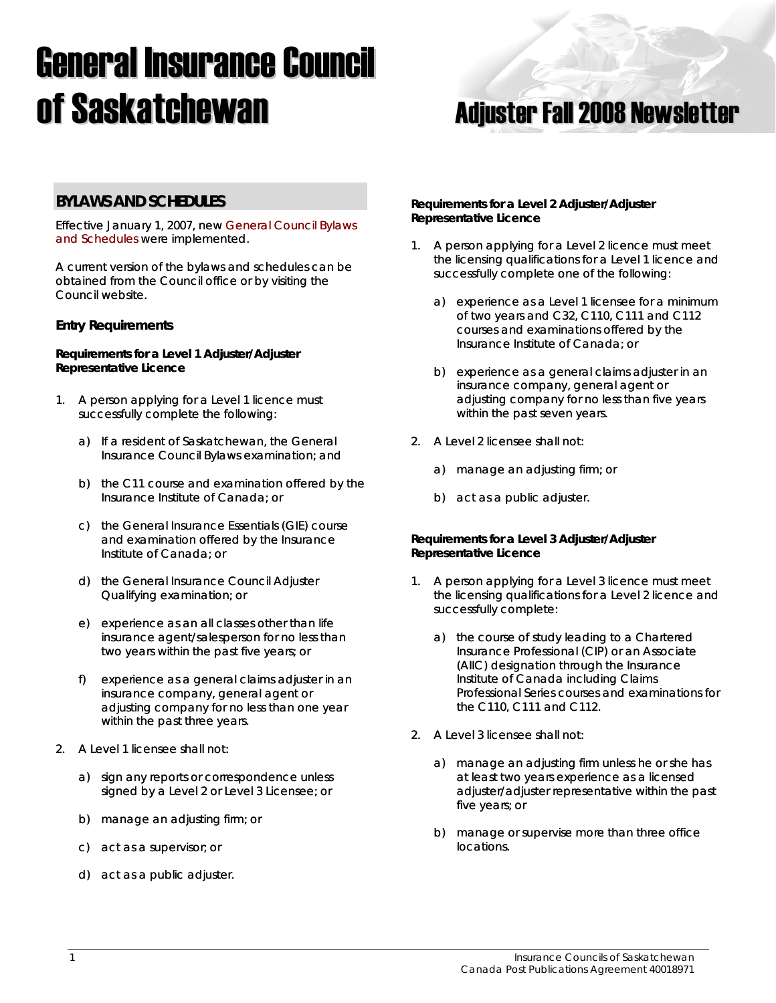# **General Insurance Council of Saskatchewan Magazian Adjuster Fall 2008 Newsletter**



## **BYLAWS AND SCHEDULES**

Effective January 1, 2007, new [General Council Bylaws](http://www.skcouncil.sk.ca/adjusters_bylaws.htm)  [and Schedules](http://www.skcouncil.sk.ca/adjusters_bylaws.htm) were implemented.

A current version of the bylaws and schedules can be obtained from the Council office or by visiting the Council website.

### **Entry Requirements**

#### **Requirements for a Level 1 Adjuster/Adjuster Representative Licence**

- 1. A person applying for a Level 1 licence must successfully complete the following:
	- a) If a resident of Saskatchewan, the General Insurance Council Bylaws examination; and
	- b) the C11 course and examination offered by the Insurance Institute of Canada; or
	- c) the General Insurance Essentials (GIE) course and examination offered by the Insurance Institute of Canada; or
	- d) the General Insurance Council Adjuster Qualifying examination; or
	- e) experience as an all classes other than life insurance agent/salesperson for no less than two years within the past five years; or
	- f) experience as a general claims adjuster in an insurance company, general agent or adjusting company for no less than one year within the past three years.
- 2. A Level 1 licensee shall not:
	- a) sign any reports or correspondence unless signed by a Level 2 or Level 3 Licensee; or
	- b) manage an adjusting firm; or
	- c) act as a supervisor; or
	- d) act as a public adjuster.

#### **Requirements for a Level 2 Adjuster/Adjuster Representative Licence**

- 1. A person applying for a Level 2 licence must meet the licensing qualifications for a Level 1 licence and successfully complete one of the following:
	- a) experience as a Level 1 licensee for a minimum of two years and C32, C110, C111 and C112 courses and examinations offered by the Insurance Institute of Canada; or
	- b) experience as a general claims adjuster in an insurance company, general agent or adjusting company for no less than five years within the past seven years.
- 2. A Level 2 licensee shall not:
	- a) manage an adjusting firm; or
	- b) act as a public adjuster.

#### **Requirements for a Level 3 Adjuster/Adjuster Representative Licence**

- 1. A person applying for a Level 3 licence must meet the licensing qualifications for a Level 2 licence and successfully complete:
	- a) the course of study leading to a Chartered Insurance Professional (CIP) or an Associate (AIIC) designation through the Insurance Institute of Canada including Claims Professional Series courses and examinations for the C110, C111 and C112.
- 2. A Level 3 licensee shall not:
	- a) manage an adjusting firm unless he or she has at least two years experience as a licensed adjuster/adjuster representative within the past five years; or
	- b) manage or supervise more than three office locations.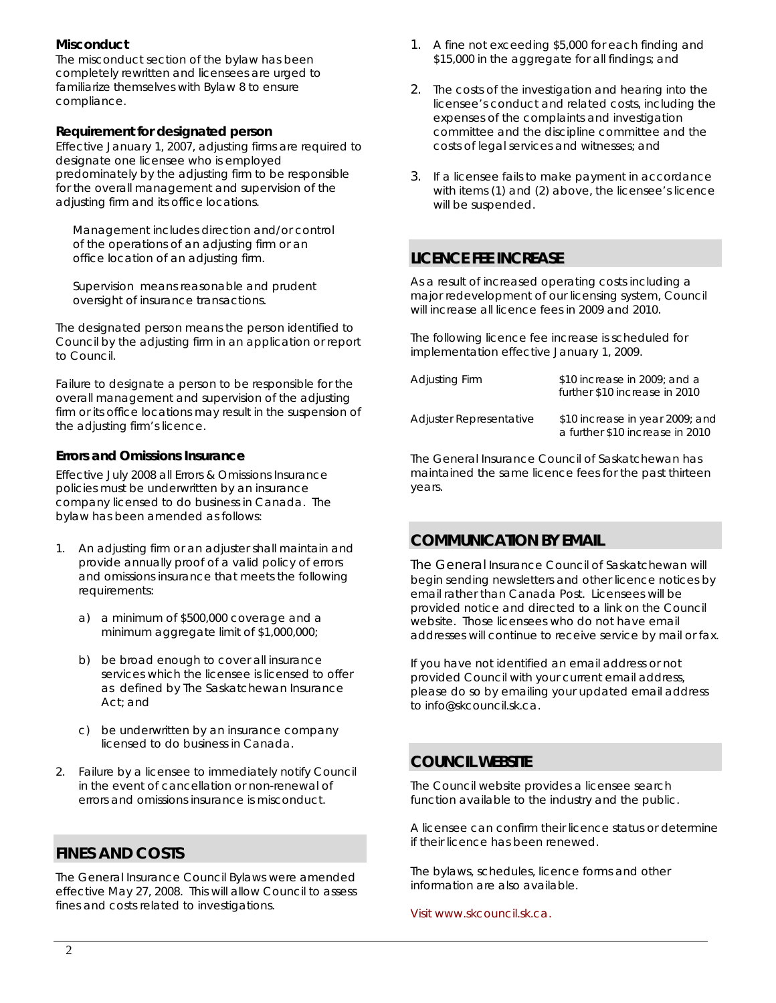## **Misconduct**

The misconduct section of the bylaw has been completely rewritten and licensees are urged to familiarize themselves with Bylaw 8 to ensure compliance.

## **Requirement for designated person**

Effective January 1, 2007, adjusting firms are required to designate one licensee who is employed predominately by the adjusting firm to be responsible for the overall management and supervision of the adjusting firm and its office locations.

*Management includes direction and/or control of the operations of an adjusting firm or an office location of an adjusting firm.* 

*Supervision means reasonable and prudent oversight of insurance transactions.*

The designated person means the person identified to Council by the adjusting firm in an application or report to Council.

Failure to designate a person to be responsible for the overall management and supervision of the adjusting firm or its office locations may result in the suspension of the adjusting firm's licence.

## **Errors and Omissions Insurance**

Effective July 2008 all Errors & Omissions Insurance policies must be underwritten by an insurance company licensed to do business in Canada. The bylaw has been amended as follows:

- 1. An adjusting firm or an adjuster shall maintain and provide annually proof of a valid policy of errors and omissions insurance that meets the following requirements:
	- a) a minimum of \$500,000 coverage and a minimum aggregate limit of \$1,000,000;
	- b) be broad enough to cover all insurance services which the licensee is licensed to offer as defined by The Saskatchewan Insurance Act; and
	- c) be underwritten by an insurance company licensed to do business in Canada.
- 2. Failure by a licensee to immediately notify Council in the event of cancellation or non-renewal of errors and omissions insurance is misconduct.

# **FINES AND COSTS**

The General Insurance Council Bylaws were amended effective May 27, 2008. This will allow Council to assess fines and costs related to investigations.

- 1. A fine not exceeding \$5,000 for each finding and \$15,000 in the aggregate for all findings; and
- 2. The costs of the investigation and hearing into the licensee's conduct and related costs, including the expenses of the complaints and investigation committee and the discipline committee and the costs of legal services and witnesses; and
- 3. If a licensee fails to make payment in accordance with items (1) and (2) above, the licensee's licence will be suspended.

## **LICENCE FEE INCREASE**

As a result of increased operating costs including a major redevelopment of our licensing system, Council will increase all licence fees in 2009 and 2010.

The following licence fee increase is scheduled for implementation effective January 1, 2009.

| Adjusting Firm          | \$10 increase in 2009; and a<br>further \$10 increase in 2010      |
|-------------------------|--------------------------------------------------------------------|
| Adjuster Representative | \$10 increase in year 2009; and<br>a further \$10 increase in 2010 |

The General Insurance Council of Saskatchewan has maintained the same licence fees for the past thirteen years.

# **COMMUNICATION BY EMAIL**

The General Insurance Council of Saskatchewan will begin sending newsletters and other licence notices by email rather than Canada Post. Licensees will be provided notice and directed to a link on the Council website. Those licensees who do not have email addresses will continue to receive service by mail or fax.

If you have not identified an email address or not provided Council with your current email address, please do so by emailing your updated email address to info@skcouncil.sk.ca.

## **COUNCIL WEBSITE**

The Council website provides a licensee search function available to the industry and the public.

A licensee can confirm their licence status or determine if their licence has been renewed.

The bylaws, schedules, licence forms and other information are also available.

[Visit www.skcouncil.sk.ca.](http://www.skcouncil.sk.ca/)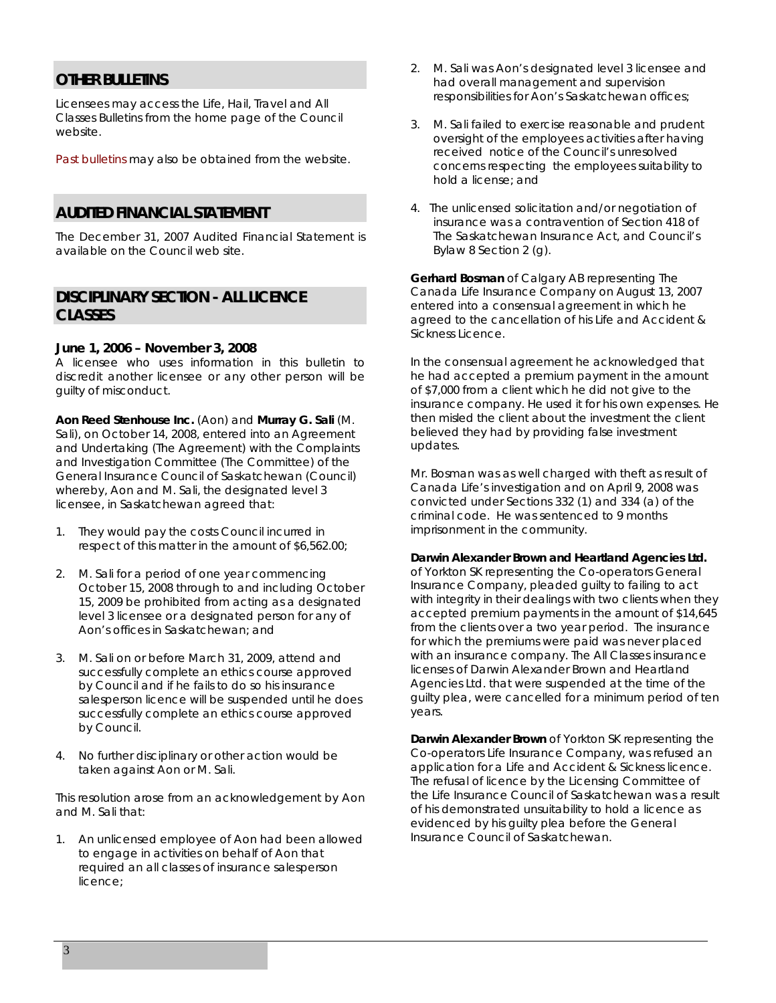## **OTHER BULLETINS**

Licensees may access the Life, Hail, Travel and All Classes Bulletins from the home page of the Council website.

[Past bulletins](http://www.skcouncil.sk.ca/bulletin.htm) may also be obtained from the website.

## **AUDITED FINANCIAL STATEMENT**

The December 31, 2007 Audited Financial Statement is available on the Council web site.

## **DISCIPLINARY SECTION - ALL LICENCE CLASSES**

### **June 1, 2006 – November 3, 2008**

A licensee who uses information in this bulletin to discredit another licensee or any other person will be guilty of misconduct.

**Aon Reed Stenhouse Inc.** (Aon) and **Murray G. Sali** (M. Sali), on October 14, 2008, entered into an Agreement and Undertaking (The Agreement) with the Complaints and Investigation Committee (The Committee) of the General Insurance Council of Saskatchewan (Council) whereby, Aon and M. Sali, the designated level 3 licensee, in Saskatchewan agreed that:

- 1. They would pay the costs Council incurred in respect of this matter in the amount of \$6,562.00;
- 2. M. Sali for a period of one year commencing October 15, 2008 through to and including October 15, 2009 be prohibited from acting as a designated level 3 licensee or a designated person for any of Aon's offices in Saskatchewan; and
- 3. M. Sali on or before March 31, 2009, attend and successfully complete an ethics course approved by Council and if he fails to do so his insurance salesperson licence will be suspended until he does successfully complete an ethics course approved by Council.
- 4. No further disciplinary or other action would be taken against Aon or M. Sali.

 This resolution arose from an acknowledgement by Aon and M. Sali that:

1. An unlicensed employee of Aon had been allowed to engage in activities on behalf of Aon that required an all classes of insurance salesperson licence;

- 2. M. Sali was Aon's designated level 3 licensee and had overall management and supervision responsibilities for Aon's Saskatchewan offices;
- 3. M. Sali failed to exercise reasonable and prudent oversight of the employees activities after having received notice of the Council's unresolved concerns respecting the employees suitability to hold a license; and
- 4. The unlicensed solicitation and/or negotiation of insurance was a contravention of Section 418 of *The Saskatchewan Insurance Act,* and Council's Bylaw 8 Section 2 (g).

**Gerhard Bosman** of Calgary AB representing The Canada Life Insurance Company on August 13, 2007 entered into a consensual agreement in which he agreed to the cancellation of his Life and Accident & Sickness Licence.

In the consensual agreement he acknowledged that he had accepted a premium payment in the amount of \$7,000 from a client which he did not give to the insurance company. He used it for his own expenses. He then misled the client about the investment the client believed they had by providing false investment updates.

Mr. Bosman was as well charged with theft as result of Canada Life's investigation and on April 9, 2008 was convicted under Sections 332 (1) and 334 (a) of the criminal code. He was sentenced to 9 months imprisonment in the community.

#### **Darwin Alexander Brown and Heartland Agencies Ltd.**

of Yorkton SK representing the Co-operators General Insurance Company, pleaded guilty to failing to act with integrity in their dealings with two clients when they accepted premium payments in the amount of \$14,645 from the clients over a two year period. The insurance for which the premiums were paid was never placed with an insurance company. The All Classes insurance licenses of Darwin Alexander Brown and Heartland Agencies Ltd. that were suspended at the time of the guilty plea, were cancelled for a minimum period of ten years.

**Darwin Alexander Brown** of Yorkton SK representing the Co-operators Life Insurance Company, was refused an application for a Life and Accident & Sickness licence. The refusal of licence by the Licensing Committee of the Life Insurance Council of Saskatchewan was a result of his demonstrated unsuitability to hold a licence as evidenced by his guilty plea before the General Insurance Council of Saskatchewan.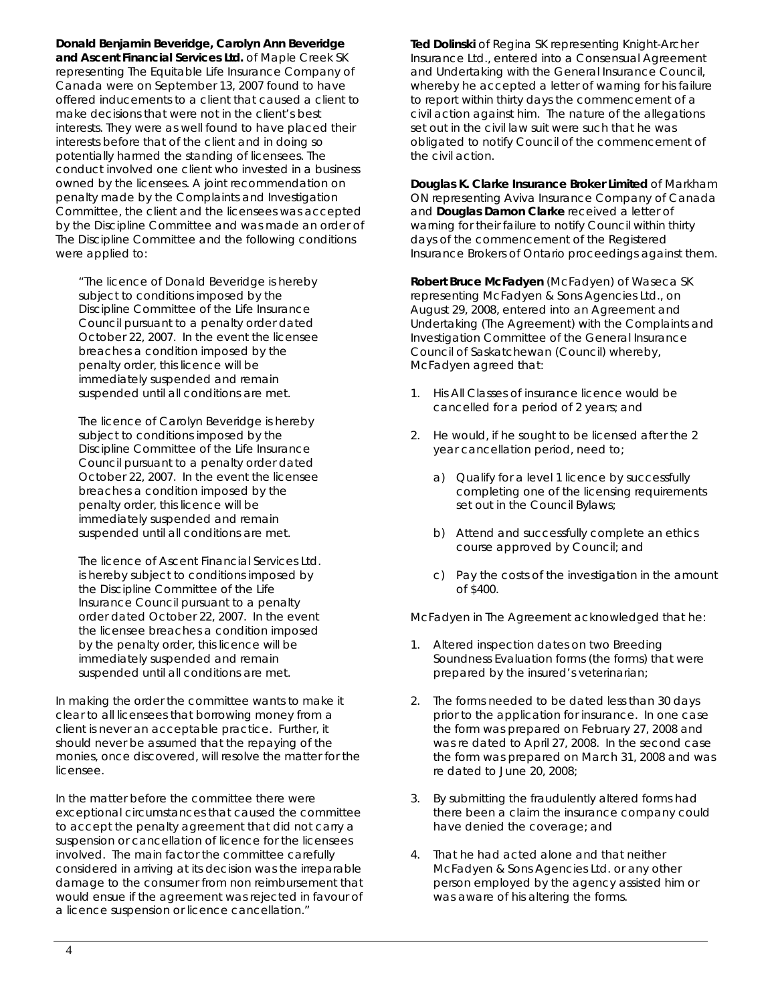**Donald Benjamin Beveridge, Carolyn Ann Beveridge and Ascent Financial Services Ltd.** of Maple Creek SK representing The Equitable Life Insurance Company of Canada were on September 13, 2007 found to have offered inducements to a client that caused a client to make decisions that were not in the client's best interests. They were as well found to have placed their interests before that of the client and in doing so potentially harmed the standing of licensees. The conduct involved one client who invested in a business owned by the licensees. A joint recommendation on penalty made by the Complaints and Investigation Committee, the client and the licensees was accepted by the Discipline Committee and was made an order of The Discipline Committee and the following conditions were applied to:

"The licence of Donald Beveridge is hereby subject to conditions imposed by the Discipline Committee of the Life Insurance Council pursuant to a penalty order dated October 22, 2007. In the event the licensee breaches a condition imposed by the penalty order, this licence will be immediately suspended and remain suspended until all conditions are met.

The licence of Carolyn Beveridge is hereby subject to conditions imposed by the Discipline Committee of the Life Insurance Council pursuant to a penalty order dated October 22, 2007. In the event the licensee breaches a condition imposed by the penalty order, this licence will be immediately suspended and remain suspended until all conditions are met.

The licence of Ascent Financial Services Ltd. is hereby subject to conditions imposed by the Discipline Committee of the Life Insurance Council pursuant to a penalty order dated October 22, 2007. In the event the licensee breaches a condition imposed by the penalty order, this licence will be immediately suspended and remain suspended until all conditions are met.

In making the order the committee wants to make it clear to all licensees that borrowing money from a client is never an acceptable practice. Further, it should never be assumed that the repaying of the monies, once discovered, will resolve the matter for the licensee.

In the matter before the committee there were exceptional circumstances that caused the committee to accept the penalty agreement that did not carry a suspension or cancellation of licence for the licensees involved. The main factor the committee carefully considered in arriving at its decision was the irreparable damage to the consumer from non reimbursement that would ensue if the agreement was rejected in favour of a licence suspension or licence cancellation."

**Ted Dolinski** of Regina SK representing Knight-Archer Insurance Ltd., entered into a Consensual Agreement and Undertaking with the General Insurance Council, whereby he accepted a letter of warning for his failure to report within thirty days the commencement of a civil action against him. The nature of the allegations set out in the civil law suit were such that he was obligated to notify Council of the commencement of the civil action.

**Douglas K. Clarke Insurance Broker Limited** of Markham ON representing Aviva Insurance Company of Canada and **Douglas Damon Clarke** received a letter of warning for their failure to notify Council within thirty days of the commencement of the Registered Insurance Brokers of Ontario proceedings against them.

**Robert Bruce McFadyen** (McFadyen) of Waseca SK representing McFadyen & Sons Agencies Ltd., on August 29, 2008, entered into an Agreement and Undertaking (The Agreement) with the Complaints and Investigation Committee of the General Insurance Council of Saskatchewan (Council) whereby, McFadyen agreed that:

- 1. His All Classes of insurance licence would be cancelled for a period of 2 years; and
- 2. He would, if he sought to be licensed after the 2 year cancellation period, need to;
	- a) Qualify for a level 1 licence by successfully completing one of the licensing requirements set out in the Council Bylaws;
	- b) Attend and successfully complete an ethics course approved by Council; and
	- c) Pay the costs of the investigation in the amount of \$400.

McFadyen in The Agreement acknowledged that he:

- 1. Altered inspection dates on two Breeding Soundness Evaluation forms (the forms) that were prepared by the insured's veterinarian;
- 2. The forms needed to be dated less than 30 days prior to the application for insurance. In one case the form was prepared on February 27, 2008 and was re dated to April 27, 2008. In the second case the form was prepared on March 31, 2008 and was re dated to June 20, 2008;
- 3. By submitting the fraudulently altered forms had there been a claim the insurance company could have denied the coverage; and
- 4. That he had acted alone and that neither McFadyen & Sons Agencies Ltd. or any other person employed by the agency assisted him or was aware of his altering the forms.